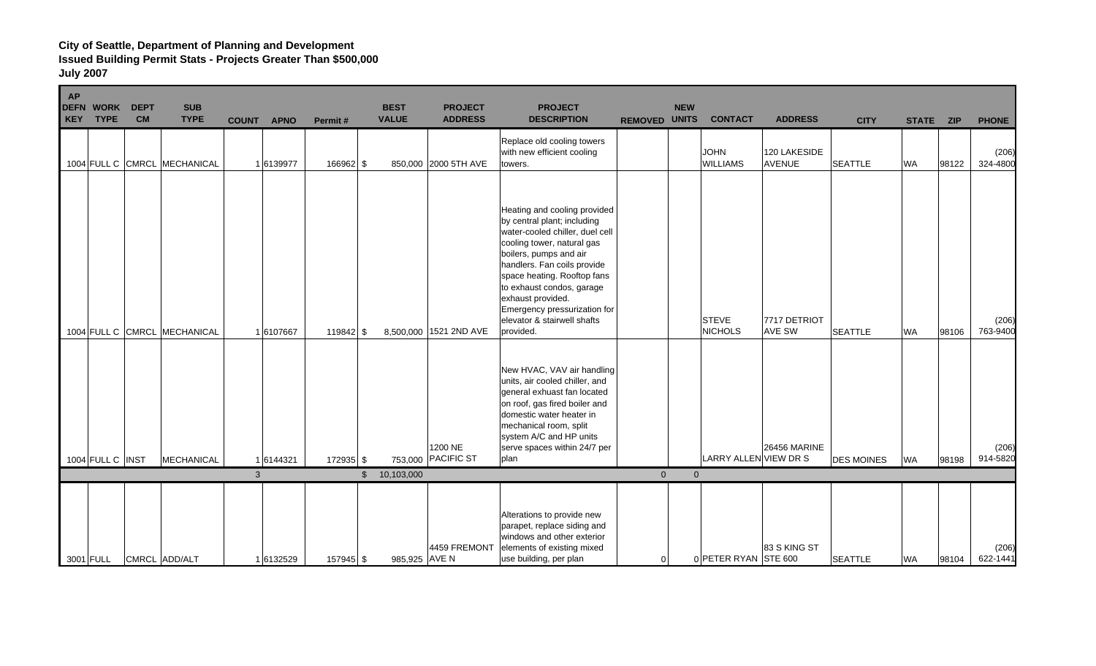| <b>AP</b><br>KEY | <b>DEFN WORK</b><br><b>TYPE</b> | <b>DEPT</b><br><b>CM</b> | <b>SUB</b><br><b>TYPE</b>    | <b>COUNT</b> | <b>APNO</b> | Permit#     | <b>BEST</b><br><b>VALUE</b> | <b>PROJECT</b><br><b>ADDRESS</b> | <b>PROJECT</b><br><b>DESCRIPTION</b>                                                                                                                                                                                                                                                                                                               | <b>REMOVED UNITS</b> | <b>NEW</b>     | <b>CONTACT</b>                 | <b>ADDRESS</b>                | <b>CITY</b>       | <b>STATE</b> | <b>ZIP</b> | <b>PHONE</b>      |
|------------------|---------------------------------|--------------------------|------------------------------|--------------|-------------|-------------|-----------------------------|----------------------------------|----------------------------------------------------------------------------------------------------------------------------------------------------------------------------------------------------------------------------------------------------------------------------------------------------------------------------------------------------|----------------------|----------------|--------------------------------|-------------------------------|-------------------|--------------|------------|-------------------|
|                  |                                 |                          | 1004 FULL C CMRCL MECHANICAL |              | 16139977    | 166962 \$   |                             | 850,000 2000 5TH AVE             | Replace old cooling towers<br>with new efficient cooling<br>towers.                                                                                                                                                                                                                                                                                |                      |                | <b>JOHN</b><br><b>WILLIAMS</b> | 120 LAKESIDE<br><b>AVENUE</b> | <b>SEATTLE</b>    | <b>WA</b>    | 98122      | (206)<br>324-4800 |
|                  |                                 |                          | 1004 FULL C CMRCL MECHANICAL |              | 1 6107667   | $119842$ \$ |                             | 8,500,000 1521 2ND AVE           | Heating and cooling provided<br>by central plant; including<br>water-cooled chiller, duel cell<br>cooling tower, natural gas<br>boilers, pumps and air<br>handlers. Fan coils provide<br>space heating. Rooftop fans<br>to exhaust condos, garage<br>exhaust provided.<br>Emergency pressurization for<br>elevator & stairwell shafts<br>provided. |                      |                | <b>STEVE</b><br><b>NICHOLS</b> | 7717 DETRIOT<br><b>AVE SW</b> | <b>SEATTLE</b>    | <b>WA</b>    | 98106      | (206)<br>763-9400 |
|                  |                                 |                          |                              |              |             |             |                             | 1200 NE<br>753,000 PACIFIC ST    | New HVAC, VAV air handling<br>units, air cooled chiller, and<br>general exhuast fan located<br>on roof, gas fired boiler and<br>domestic water heater in<br>mechanical room, split<br>system A/C and HP units<br>serve spaces within 24/7 per<br>plan                                                                                              |                      |                | LARRY ALLEN VIEW DR S          | 26456 MARINE                  | <b>DES MOINES</b> |              |            | (206)<br>914-5820 |
|                  | 1004 FULL C INST                |                          | MECHANICAL                   | $\mathbf{3}$ | 16144321    | 172935 \$   | \$10,103,000                |                                  |                                                                                                                                                                                                                                                                                                                                                    | $\overline{0}$       | $\overline{0}$ |                                |                               |                   | <b>WA</b>    | 98198      |                   |
|                  | 3001 FULL                       |                          | CMRCL ADD/ALT                |              | 16132529    | 157945 \$   | 985,925 AVE N               | 4459 FREMONT                     | Alterations to provide new<br>parapet, replace siding and<br>windows and other exterior<br>elements of existing mixed<br>use building, per plan                                                                                                                                                                                                    | $\mathbf 0$          |                | 0 PETER RYAN STE 600           | 83 S KING ST                  | <b>SEATTLE</b>    | <b>WA</b>    | 98104      | (206)<br>622-1441 |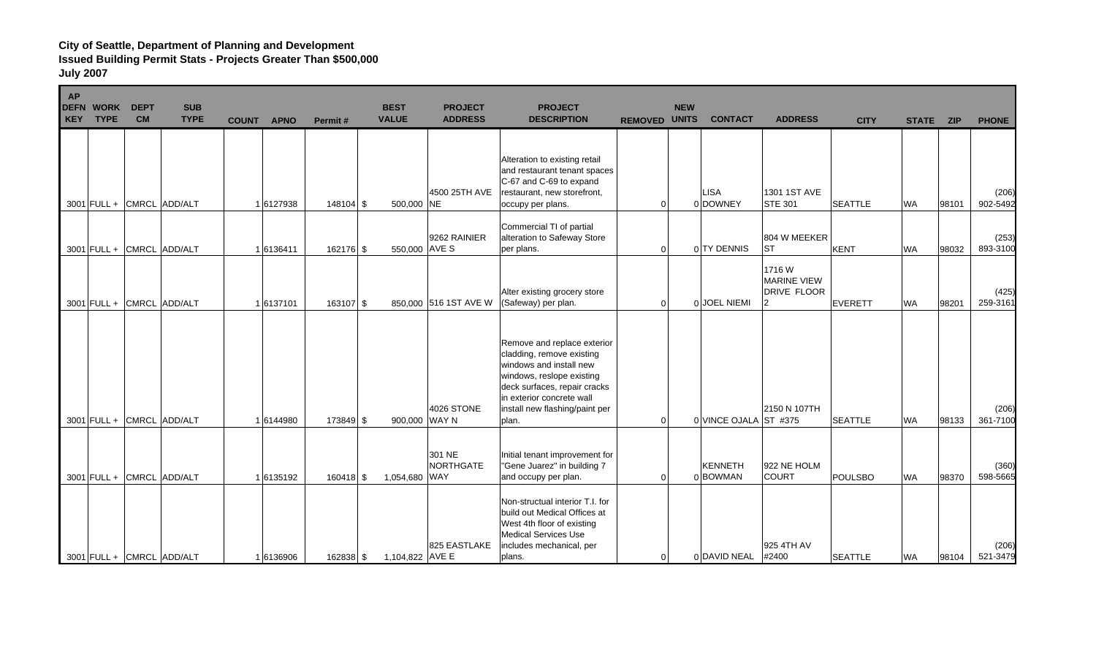| <b>AP</b><br><b>DEFN</b><br><b>KEY</b> | <b>WORK</b><br><b>TYPE</b> | <b>DEPT</b><br><b>CM</b>  | <b>SUB</b><br><b>TYPE</b> | <b>COUNT</b> | <b>APNO</b> | Permit#     | <b>BEST</b><br><b>VALUE</b> | <b>PROJECT</b><br><b>ADDRESS</b>  | <b>PROJECT</b><br><b>DESCRIPTION</b>                                                                                                                                                                                     | <b>REMOVED UNITS</b> | <b>NEW</b> | <b>CONTACT</b>          | <b>ADDRESS</b>                                           | <b>CITY</b>    | <b>STATE</b> | <b>ZIP</b> | <b>PHONE</b>      |
|----------------------------------------|----------------------------|---------------------------|---------------------------|--------------|-------------|-------------|-----------------------------|-----------------------------------|--------------------------------------------------------------------------------------------------------------------------------------------------------------------------------------------------------------------------|----------------------|------------|-------------------------|----------------------------------------------------------|----------------|--------------|------------|-------------------|
|                                        |                            | 3001 FULL + CMRCL ADD/ALT |                           |              | 16127938    | 148104 \$   | 500,000 NE                  | 4500 25TH AVE                     | Alteration to existing retail<br>and restaurant tenant spaces<br>C-67 and C-69 to expand<br>restaurant, new storefront,<br>occupy per plans.                                                                             | $\Omega$             |            | <b>LISA</b><br>0 DOWNEY | 1301 1ST AVE<br><b>STE 301</b>                           | <b>SEATTLE</b> | <b>WA</b>    | 98101      | (206)<br>902-5492 |
|                                        |                            | 3001 FULL + CMRCL ADD/ALT |                           |              | 16136411    | 162176 \$   | 550,000 AVE S               | 9262 RAINIER                      | Commercial TI of partial<br>alteration to Safeway Store<br>per plans.                                                                                                                                                    | $\mathbf 0$          |            | 0 TY DENNIS             | 804 W MEEKER<br><b>ST</b>                                | <b>KENT</b>    | <b>WA</b>    | 98032      | (253)<br>893-3100 |
|                                        |                            | 3001 FULL + CMRCL ADD/ALT |                           |              | 1 6137101   | $163107$ \$ |                             | 850,000 516 1ST AVE W             | Alter existing grocery store<br>(Safeway) per plan.                                                                                                                                                                      | $\Omega$             |            | 0 JOEL NIEMI            | 1716 W<br><b>MARINE VIEW</b><br><b>DRIVE FLOOR</b><br> 2 | <b>EVERETT</b> | <b>WA</b>    | 98201      | (425)<br>259-3161 |
|                                        |                            | 3001 FULL + CMRCL ADD/ALT |                           |              | 16144980    | 173849 \$   | 900,000 WAY N               | <b>4026 STONE</b>                 | Remove and replace exterior<br>cladding, remove existing<br>windows and install new<br>windows, reslope existing<br>deck surfaces, repair cracks<br>in exterior concrete wall<br>install new flashing/paint per<br>plan. | $\mathbf 0$          |            | 0 VINCE OJALA ST #375   | 2150 N 107TH                                             | <b>SEATTLE</b> | <b>WA</b>    | 98133      | (206)<br>361-7100 |
|                                        |                            | 3001 FULL + CMRCL ADD/ALT |                           |              | 16135192    | $160418$ \$ | 1,054,680                   | 301 NE<br>NORTHGATE<br><b>WAY</b> | Initial tenant improvement for<br>"Gene Juarez" in building 7<br>and occupy per plan.                                                                                                                                    | $\mathbf 0$          |            | KENNETH<br>0 BOWMAN     | 922 NE HOLM<br><b>COURT</b>                              | <b>POULSBO</b> | <b>WA</b>    | 98370      | (360)<br>598-5665 |
|                                        |                            | 3001 FULL + CMRCL ADD/ALT |                           |              | 16136906    | 162838 \$   | 1,104,822 AVE E             | 825 EASTLAKE                      | Non-structual interior T.I. for<br>build out Medical Offices at<br>West 4th floor of existing<br><b>Medical Services Use</b><br>includes mechanical, per<br>plans.                                                       | $\overline{0}$       |            | 0 DAVID NEAL #2400      | 925 4TH AV                                               | <b>SEATTLE</b> | <b>WA</b>    | 98104      | (206)<br>521-3479 |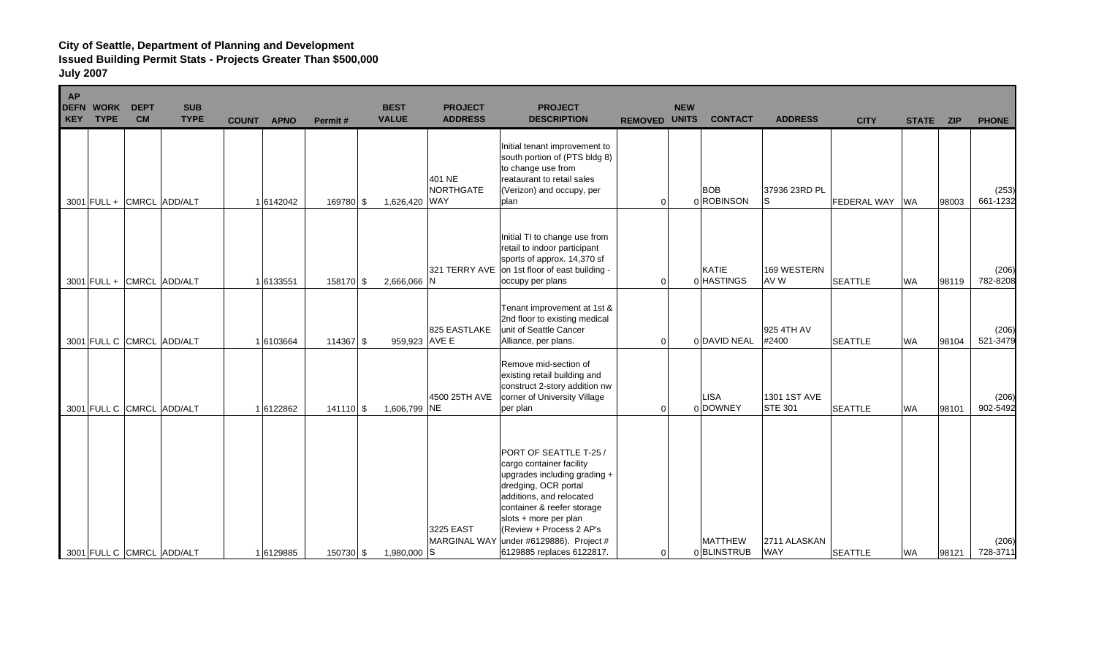| <b>AP</b><br><b>DEFN</b><br><b>KEY</b> | <b>WORK</b><br><b>TYPE</b> | <b>DEPT</b><br><b>CM</b> | <b>SUB</b><br><b>TYPE</b> | <b>COUNT</b> | <b>APNO</b> | Permit#     | <b>BEST</b><br><b>VALUE</b> | <b>PROJECT</b><br><b>ADDRESS</b> | <b>PROJECT</b><br><b>DESCRIPTION</b>                                                                                                                                                                                      | <b>REMOVED UNITS</b> | <b>NEW</b> | <b>CONTACT</b>               | <b>ADDRESS</b>                 | <b>CITY</b>    | <b>STATE</b> | <b>ZIP</b> | <b>PHONE</b>      |
|----------------------------------------|----------------------------|--------------------------|---------------------------|--------------|-------------|-------------|-----------------------------|----------------------------------|---------------------------------------------------------------------------------------------------------------------------------------------------------------------------------------------------------------------------|----------------------|------------|------------------------------|--------------------------------|----------------|--------------|------------|-------------------|
|                                        |                            |                          | 3001 FULL + CMRCL ADD/ALT |              | 1 6142042   | 169780 \$   | 1,626,420 WAY               | 401 NE<br>NORTHGATE              | Initial tenant improvement to<br>south portion of (PTS bldg 8)<br>to change use from<br>reataurant to retail sales<br>(Verizon) and occupy, per<br>plan                                                                   | $\Omega$             |            | <b>BOB</b><br>0 ROBINSON     | 37936 23RD PL<br>lS.           | FEDERAL WAY WA |              | 98003      | (253)<br>661-1232 |
|                                        |                            |                          | 3001 FULL + CMRCL ADD/ALT |              | 1 6133551   | 158170 \$   | 2,666,066 N                 | 321 TERRY AVE                    | Initial TI to change use from<br>retail to indoor participant<br>sports of approx. 14,370 sf<br>on 1st floor of east building -<br>occupy per plans                                                                       | $\Omega$             |            | KATIE<br>0 HASTINGS          | 169 WESTERN<br>AV W            | <b>SEATTLE</b> | <b>WA</b>    | 98119      | (206)<br>782-8208 |
|                                        |                            |                          | 3001 FULL C CMRCL ADD/ALT |              | 1 6103664   | $114367$ \$ | 959,923 AVE E               | 825 EASTLAKE                     | Tenant improvement at 1st &<br>2nd floor to existing medical<br>unit of Seattle Cancer<br>Alliance, per plans.                                                                                                            | $\Omega$             |            | 0 DAVID NEAL                 | 925 4TH AV<br>#2400            | <b>SEATTLE</b> | <b>WA</b>    | 98104      | (206)<br>521-3479 |
|                                        |                            |                          | 3001 FULL C CMRCL ADD/ALT |              | 16122862    | $141110$ \$ | 1,606,799 NE                | 4500 25TH AVE                    | Remove mid-section of<br>existing retail building and<br>construct 2-story addition nw<br>corner of University Village<br>per plan                                                                                        | $\Omega$             |            | <b>LISA</b><br>0 DOWNEY      | 1301 1ST AVE<br><b>STE 301</b> | <b>SEATTLE</b> | <b>WA</b>    | 98101      | (206)<br>902-5492 |
|                                        |                            |                          |                           |              |             |             |                             | 3225 EAST                        | PORT OF SEATTLE T-25 /<br>cargo container facility<br>upgrades including grading +<br>dredging, OCR portal<br>additions, and relocated<br>container & reefer storage<br>slots + more per plan<br>(Review + Process 2 AP's |                      |            |                              |                                |                |              |            |                   |
|                                        |                            |                          | 3001 FULL C CMRCL ADD/ALT |              | 16129885    | 150730 \$   | 1,980,000 S                 | <b>MARGINAL WAY</b>              | under #6129886). Project #<br>6129885 replaces 6122817.                                                                                                                                                                   | $\mathbf 0$          |            | <b>MATTHEW</b><br>0BLINSTRUB | 2711 ALASKAN<br><b>WAY</b>     | <b>SEATTLE</b> | <b>WA</b>    | 98121      | (206)<br>728-3711 |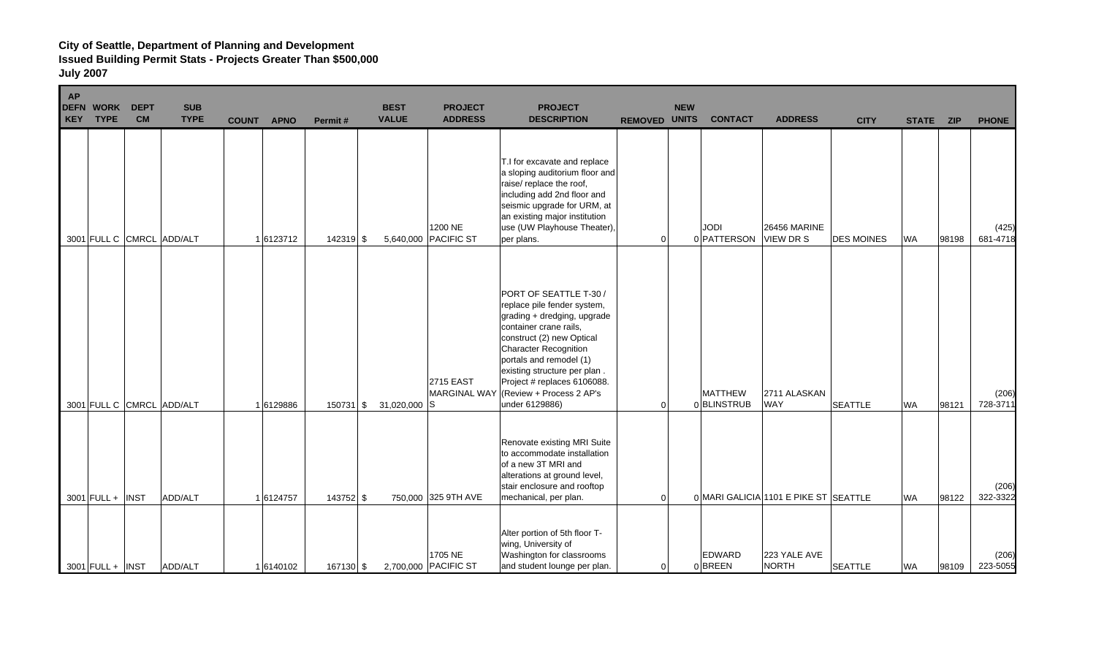| <b>AP</b><br><b>DEFN</b><br><b>KEY</b> | <b>WORK</b><br><b>TYPE</b> | <b>DEPT</b><br><b>CM</b> | <b>SUB</b><br><b>TYPE</b> | <b>COUNT</b> | <b>APNO</b> | Permit#     | <b>BEST</b><br><b>VALUE</b> | <b>PROJECT</b><br><b>ADDRESS</b>        | <b>PROJECT</b><br><b>DESCRIPTION</b>                                                                                                                                                                                                                                                                                | <b>REMOVED UNITS</b> | <b>NEW</b> | <b>CONTACT</b>               | <b>ADDRESS</b>                          | <b>CITY</b>       | <b>STATE</b> | <b>ZIP</b> | <b>PHONE</b>      |
|----------------------------------------|----------------------------|--------------------------|---------------------------|--------------|-------------|-------------|-----------------------------|-----------------------------------------|---------------------------------------------------------------------------------------------------------------------------------------------------------------------------------------------------------------------------------------------------------------------------------------------------------------------|----------------------|------------|------------------------------|-----------------------------------------|-------------------|--------------|------------|-------------------|
|                                        |                            |                          | 3001 FULL C CMRCL ADD/ALT |              | 16123712    | $142319$ \$ |                             | 1200 NE<br>5,640,000 PACIFIC ST         | T.I for excavate and replace<br>a sloping auditorium floor and<br>raise/ replace the roof,<br>including add 2nd floor and<br>seismic upgrade for URM, at<br>an existing major institution<br>use (UW Playhouse Theater),<br>per plans.                                                                              | $\Omega$             |            | <b>JODI</b><br>0 PATTERSON   | <b>26456 MARINE</b><br><b>VIEW DR S</b> | <b>DES MOINES</b> | <b>WA</b>    | 98198      | (425)<br>681-4718 |
|                                        |                            |                          | 3001 FULL C CMRCL ADD/ALT |              | 16129886    | $150731$ \$ | $31,020,000$ S              | <b>2715 EAST</b><br><b>MARGINAL WAY</b> | PORT OF SEATTLE T-30 /<br>replace pile fender system,<br>grading + dredging, upgrade<br>container crane rails,<br>construct (2) new Optical<br><b>Character Recognition</b><br>portals and remodel (1)<br>existing structure per plan.<br>Project # replaces 6106088.<br>(Review + Process 2 AP's<br>under 6129886) | $\Omega$             |            | <b>MATTHEW</b><br>0BLINSTRUB | 2711 ALASKAN<br><b>WAY</b>              | <b>SEATTLE</b>    | <b>WA</b>    | 98121      | (206)<br>728-3711 |
|                                        | $3001$ FULL + INST         |                          | ADD/ALT                   |              | 1 6124757   | 143752 \$   |                             | 750,000 325 9TH AVE                     | Renovate existing MRI Suite<br>to accommodate installation<br>of a new 3T MRI and<br>alterations at ground level,<br>stair enclosure and rooftop<br>mechanical, per plan.                                                                                                                                           | $\mathbf 0$          |            |                              | 0 MARI GALICIA 1101 E PIKE ST SEATTLE   |                   | <b>WA</b>    | 98122      | (206)<br>322-3322 |
|                                        | $3001$ FULL + INST         |                          | ADD/ALT                   |              | 16140102    | 167130 \$   |                             | 1705 NE<br>2,700,000 PACIFIC ST         | Alter portion of 5th floor T-<br>wing, University of<br>Washington for classrooms<br>and student lounge per plan.                                                                                                                                                                                                   | $\mathbf 0$          |            | <b>EDWARD</b><br>0BREEN      | 223 YALE AVE<br><b>NORTH</b>            | <b>SEATTLE</b>    | <b>WA</b>    | 98109      | (206)<br>223-5055 |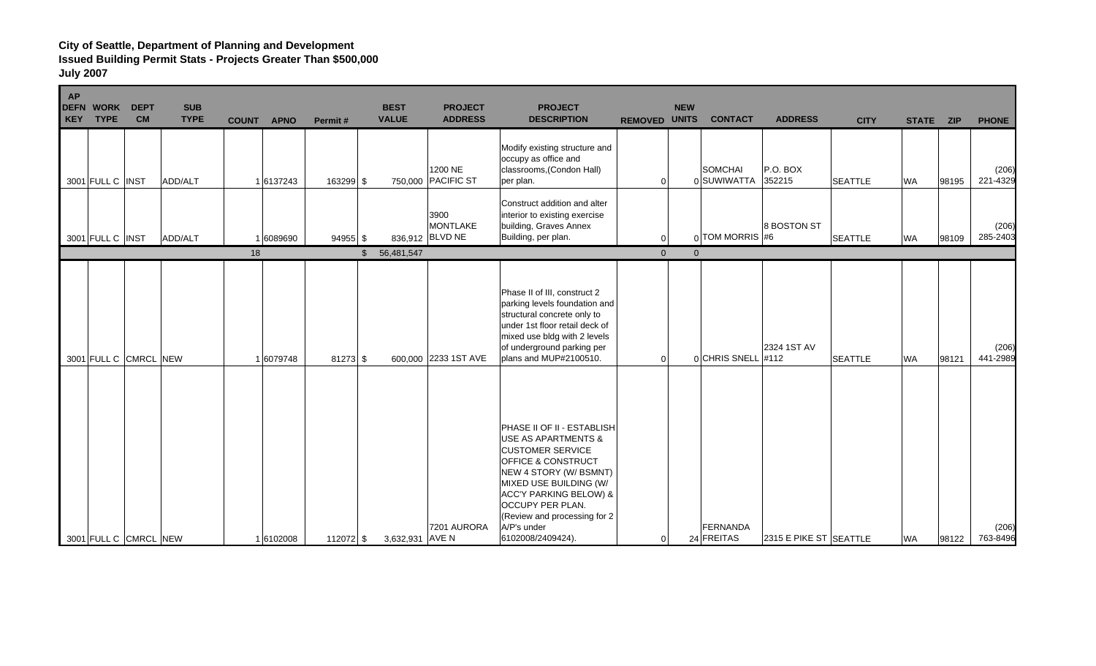| <b>AP</b><br><b>DEFN WORK</b><br>KEY TYPE |                  | <b>DEPT</b><br><b>CM</b> | <b>SUB</b><br><b>TYPE</b> | <b>APNO</b><br><b>COUNT</b> | Permit#    | <b>BEST</b><br><b>VALUE</b>  | <b>PROJECT</b><br><b>ADDRESS</b>           | <b>PROJECT</b><br><b>DESCRIPTION</b>                                                                                                                                                                                                                                                                              | <b>REMOVED UNITS</b> | <b>NEW</b>     | <b>CONTACT</b>                | <b>ADDRESS</b>         | <b>CITY</b>    | <b>STATE</b> | <b>ZIP</b> | <b>PHONE</b>      |
|-------------------------------------------|------------------|--------------------------|---------------------------|-----------------------------|------------|------------------------------|--------------------------------------------|-------------------------------------------------------------------------------------------------------------------------------------------------------------------------------------------------------------------------------------------------------------------------------------------------------------------|----------------------|----------------|-------------------------------|------------------------|----------------|--------------|------------|-------------------|
|                                           | 3001 FULL C INST |                          | ADD/ALT                   | 1 6137243                   | 163299 \$  |                              | 1200 NE<br>750,000 PACIFIC ST              | Modify existing structure and<br>occupy as office and<br>classrooms, (Condon Hall)<br>per plan.                                                                                                                                                                                                                   | $\overline{0}$       |                | <b>SOMCHAI</b><br>0 SUWIWATTA | $P.O.$ BOX<br>352215   | <b>SEATTLE</b> | <b>WA</b>    | 98195      | (206)<br>221-4329 |
| 3001 FULL C INST                          |                  |                          | ADD/ALT                   | 1 6089690                   | $94955$ \$ |                              | 3900<br><b>MONTLAKE</b><br>836,912 BLVD NE | Construct addition and alter<br>interior to existing exercise<br>building, Graves Annex<br>Building, per plan.                                                                                                                                                                                                    | $\Omega$             |                | $_0$ TOM MORRIS #6            | 8 BOSTON ST            | <b>SEATTLE</b> | <b>WA</b>    | 98109      | (206)<br>285-2403 |
|                                           |                  |                          |                           | 18                          |            | $\mathfrak{S}$<br>56,481,547 |                                            |                                                                                                                                                                                                                                                                                                                   | $\mathbf{0}$         | $\overline{0}$ |                               |                        |                |              |            |                   |
|                                           |                  | 3001 FULL C CMRCL NEW    |                           | 1 6079748                   | $81273$ \$ |                              | 600.000 2233 1ST AVE                       | Phase II of III, construct 2<br>parking levels foundation and<br>structural concrete only to<br>under 1st floor retail deck of<br>mixed use bldg with 2 levels<br>of underground parking per<br>plans and MUP#2100510.                                                                                            | $\Omega$             |                | 0 CHRIS SNELL #112            | 2324 1ST AV            | <b>SEATTLE</b> | <b>WA</b>    | 98121      | (206)<br>441-2989 |
|                                           |                  | 3001 FULL C CMRCL NEW    |                           | 16102008                    | 112072 \$  | 3,632,931 AVE N              | 7201 AURORA                                | PHASE II OF II - ESTABLISH<br><b>USE AS APARTMENTS &amp;</b><br><b>CUSTOMER SERVICE</b><br><b>OFFICE &amp; CONSTRUCT</b><br>NEW 4 STORY (W/ BSMNT)<br>MIXED USE BUILDING (W/<br><b>ACC'Y PARKING BELOW) &amp;</b><br><b>OCCUPY PER PLAN.</b><br>(Review and processing for 2)<br>A/P's under<br>6102008/2409424). | $\overline{0}$       |                | FERNANDA<br>24 FREITAS        | 2315 E PIKE ST SEATTLE |                | <b>WA</b>    | 98122      | (206)<br>763-8496 |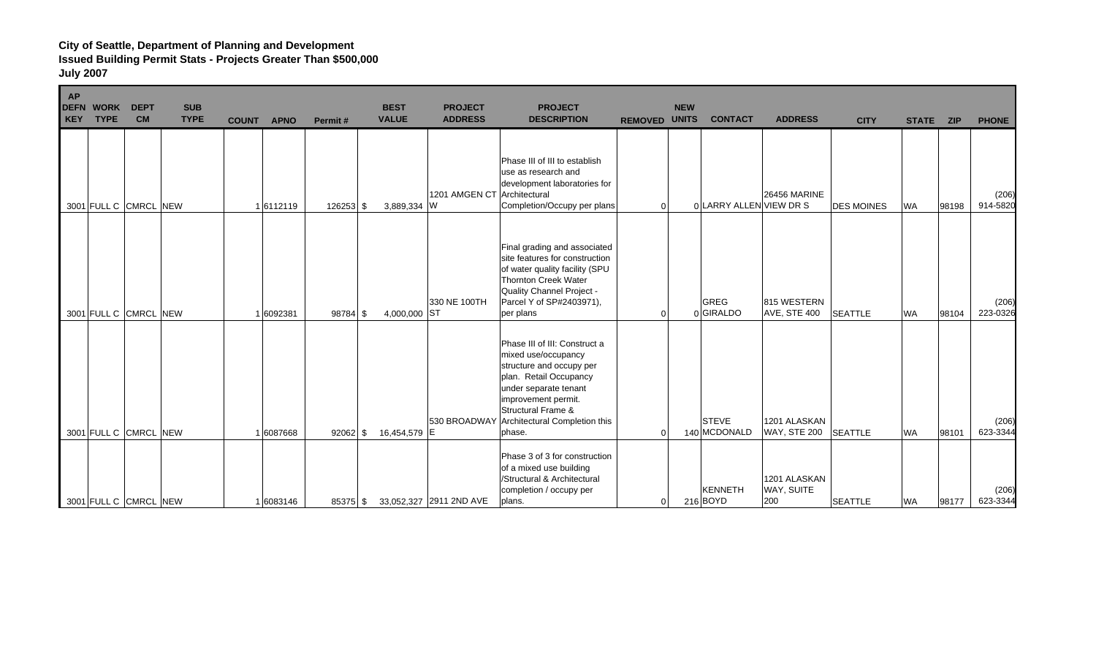| <b>AP</b><br><b>DEFN WORK</b><br>KEY TYPE | <b>DEPT</b><br><b>CM</b> | <b>SUB</b><br><b>TYPE</b> | <b>COUNT</b> | <b>APNO</b> | Permit#    | <b>BEST</b><br><b>VALUE</b> | <b>PROJECT</b><br><b>ADDRESS</b> | <b>PROJECT</b><br><b>DESCRIPTION</b>                                                                                                                                                                                                   | <b>REMOVED UNITS</b> | <b>NEW</b> | <b>CONTACT</b>             | <b>ADDRESS</b>                      | <b>CITY</b>       | <b>STATE</b> | <b>ZIP</b> | <b>PHONE</b>      |
|-------------------------------------------|--------------------------|---------------------------|--------------|-------------|------------|-----------------------------|----------------------------------|----------------------------------------------------------------------------------------------------------------------------------------------------------------------------------------------------------------------------------------|----------------------|------------|----------------------------|-------------------------------------|-------------------|--------------|------------|-------------------|
|                                           | 3001 FULL C CMRCL NEW    |                           |              | 16112119    | 126253 \$  | 3,889,334 W                 | 1201 AMGEN CT Architectural      | Phase III of III to establish<br>use as research and<br>development laboratories for<br>Completion/Occupy per plans                                                                                                                    | $\Omega$             |            | 0 LARRY ALLEN VIEW DR S    | <b>26456 MARINE</b>                 | <b>DES MOINES</b> | <b>WA</b>    | 98198      | (206)<br>914-5820 |
|                                           | 3001 FULL C CMRCL NEW    |                           |              | 6092381     | 98784 \$   | 4,000,000 ST                | 330 NE 100TH                     | Final grading and associated<br>site features for construction<br>of water quality facility (SPU<br><b>Thornton Creek Water</b><br>Quality Channel Project -<br>Parcel Y of SP#2403971),<br>per plans                                  | $\Omega$             |            | <b>GREG</b><br>0 GIRALDO   | 815 WESTERN<br><b>AVE, STE 400</b>  | <b>SEATTLE</b>    | <b>WA</b>    | 98104      | (206)<br>223-0326 |
|                                           | 3001 FULL C CMRCL NEW    |                           |              | 1 6087668   | $92062$ \$ | 16,454,579 E                | 530 BROADWAY                     | Phase III of III: Construct a<br>mixed use/occupancy<br>structure and occupy per<br>plan. Retail Occupancy<br>under separate tenant<br>improvement permit.<br><b>Structural Frame &amp;</b><br>Architectural Completion this<br>phase. | $\Omega$             |            | STEVE<br>140 MCDONALD      | 1201 ALASKAN<br><b>WAY, STE 200</b> | <b>SEATTLE</b>    | <b>WA</b>    | 98101      | (206)<br>623-3344 |
|                                           | 3001 FULL C CMRCL NEW    |                           |              | 1 6083146   | $85375$ \$ |                             | 33,052,327 2911 2ND AVE          | Phase 3 of 3 for construction<br>of a mixed use building<br>/Structural & Architectural<br>completion / occupy per<br>plans.                                                                                                           | $\overline{0}$       |            | <b>KENNETH</b><br>216 BOYD | 1201 ALASKAN<br>WAY, SUITE<br>200   | <b>SEATTLE</b>    | <b>WA</b>    | 98177      | (206)<br>623-3344 |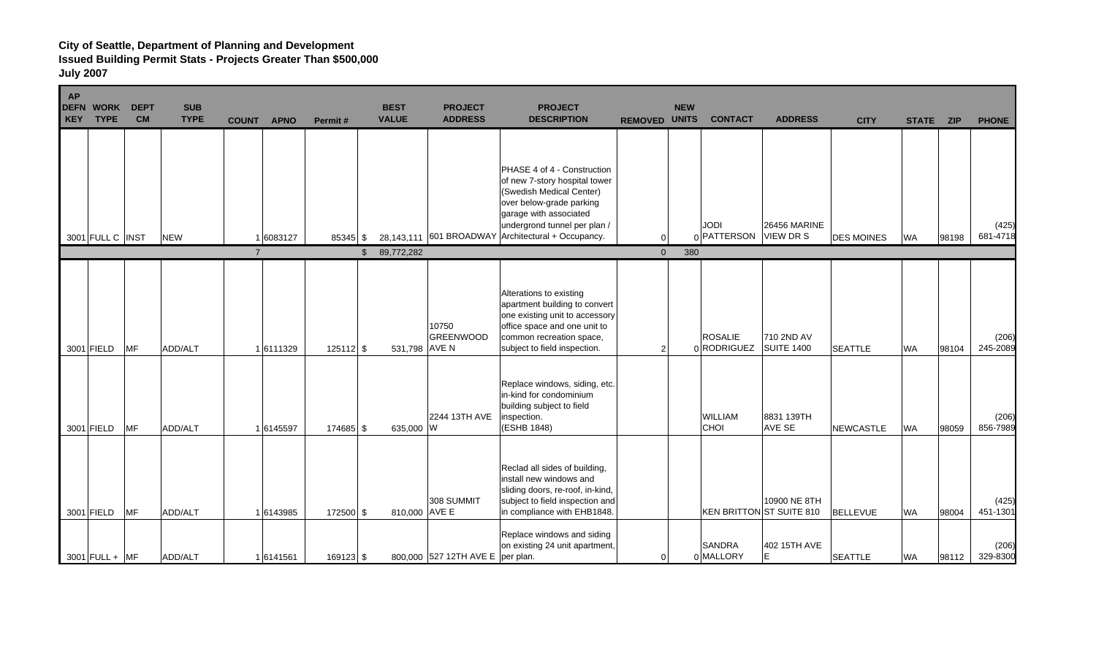| <b>AP</b><br><b>DEFN</b><br><b>KEY</b> | <b>WORK</b><br><b>TYPE</b> | <b>DEPT</b><br><b>CM</b> | <b>SUB</b><br><b>TYPE</b> | <b>COUNT</b>   | <b>APNO</b> | Permit#     | <b>BEST</b><br><b>VALUE</b> | <b>PROJECT</b><br><b>ADDRESS</b> | <b>PROJECT</b><br><b>DESCRIPTION</b>                                                                                                                                                                                                 | <b>REMOVED UNITS</b> | <b>NEW</b> | <b>CONTACT</b>                | <b>ADDRESS</b>                           | <b>CITY</b>       | <b>STATE</b> | <b>ZIP</b> | <b>PHONE</b>      |
|----------------------------------------|----------------------------|--------------------------|---------------------------|----------------|-------------|-------------|-----------------------------|----------------------------------|--------------------------------------------------------------------------------------------------------------------------------------------------------------------------------------------------------------------------------------|----------------------|------------|-------------------------------|------------------------------------------|-------------------|--------------|------------|-------------------|
|                                        | 3001 FULL C INST           |                          | <b>NEW</b>                |                | 16083127    | $85345$ \$  |                             |                                  | PHASE 4 of 4 - Construction<br>of new 7-story hospital tower<br>(Swedish Medical Center)<br>over below-grade parking<br>garage with associated<br>undergrond tunnel per plan /<br>28,143,111 601 BROADWAY Architectural + Occupancy. | $\Omega$             |            | IODI<br>0 PATTERSON VIEW DR S | <b>26456 MARINE</b>                      | <b>DES MOINES</b> | <b>WA</b>    | 98198      | (425)<br>681-4718 |
|                                        |                            |                          |                           | $\overline{7}$ |             |             | 89,772,282<br>$\mathbb{S}$  |                                  |                                                                                                                                                                                                                                      | $\overline{0}$       | 380        |                               |                                          |                   |              |            |                   |
|                                        | 3001 FIELD                 | MF                       | ADD/ALT                   |                | 16111329    | $125112$ \$ | 531,798 AVE N               | 10750<br><b>GREENWOOD</b>        | Alterations to existing<br>apartment building to convert<br>one existing unit to accessory<br>office space and one unit to<br>common recreation space,<br>subject to field inspection.                                               | 2                    |            | <b>ROSALIE</b><br>0 RODRIGUEZ | 710 2ND AV<br><b>SUITE 1400</b>          | <b>SEATTLE</b>    | <b>WA</b>    | 98104      | (206)<br>245-2089 |
|                                        | 3001 FIELD                 | <b>MF</b>                | ADD/ALT                   |                | 1 6145597   | 174685 \$   | 635,000 W                   | 2244 13TH AVE                    | Replace windows, siding, etc.<br>in-kind for condominium<br>building subject to field<br>inspection.<br>(ESHB 1848)                                                                                                                  |                      |            | <b>WILLIAM</b><br>CHOI        | 8831 139TH<br>AVE SE                     | <b>NEWCASTLE</b>  | <b>WA</b>    | 98059      | (206)<br>856-7989 |
|                                        | 3001 FIELD                 | <b>MF</b>                | ADD/ALT                   |                | 16143985    | 172500 \$   | 810,000 AVE E               | 308 SUMMIT                       | Reclad all sides of building,<br>install new windows and<br>sliding doors, re-roof, in-kind,<br>subject to field inspection and<br>in compliance with EHB1848.                                                                       |                      |            |                               | 10900 NE 8TH<br>KEN BRITTON ST SUITE 810 | <b>BELLEVUE</b>   | <b>WA</b>    | 98004      | (425)<br>451-1301 |
|                                        | $3001$ FULL + MF           |                          | ADD/ALT                   |                | 16141561    | $169123$ \$ |                             | 800,000 527 12TH AVE E           | Replace windows and siding<br>on existing 24 unit apartment,<br>per plan.                                                                                                                                                            | $\overline{0}$       |            | SANDRA<br>0 MALLORY           | 402 15TH AVE<br>E.                       | <b>SEATTLE</b>    | <b>WA</b>    | 98112      | (206)<br>329-8300 |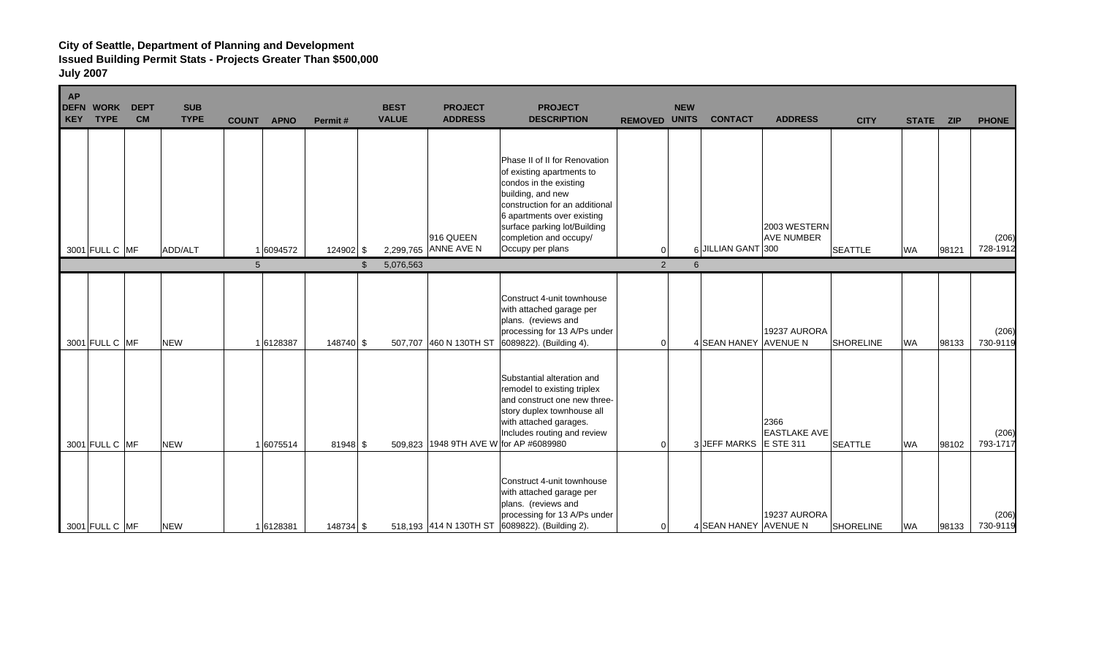| <b>AP</b><br><b>DEFN</b><br><b>KEY</b> | <b>WORK</b><br><b>TYPE</b> | <b>DEPT</b><br><b>CM</b> | <b>SUB</b><br><b>TYPE</b> | <b>COUNT</b> | <b>APNO</b> | Permit#    | <b>BEST</b><br><b>VALUE</b> | <b>PROJECT</b><br><b>ADDRESS</b>  | <b>PROJECT</b><br><b>DESCRIPTION</b>                                                                                                                                                                                                                    | <b>REMOVED UNITS</b> | <b>NEW</b> | <b>CONTACT</b>        | <b>ADDRESS</b>                                  | <b>CITY</b>      | <b>STATE</b> | <b>ZIP</b> | <b>PHONE</b>      |
|----------------------------------------|----------------------------|--------------------------|---------------------------|--------------|-------------|------------|-----------------------------|-----------------------------------|---------------------------------------------------------------------------------------------------------------------------------------------------------------------------------------------------------------------------------------------------------|----------------------|------------|-----------------------|-------------------------------------------------|------------------|--------------|------------|-------------------|
|                                        | 3001 FULL C MF             |                          | ADD/ALT                   |              | 1 6094572   | 124902 \$  |                             | 916 QUEEN<br>2,299,765 ANNE AVE N | Phase II of II for Renovation<br>of existing apartments to<br>condos in the existing<br>building, and new<br>construction for an additional<br>6 apartments over existing<br>surface parking lot/Building<br>completion and occupy/<br>Occupy per plans | 0                    |            | 6 JILLIAN GANT 300    | 2003 WESTERN<br><b>AVE NUMBER</b>               | <b>SEATTLE</b>   | <b>WA</b>    | 98121      | (206)<br>728-1912 |
|                                        |                            |                          |                           | 5            |             | \$.        | 5,076,563                   |                                   |                                                                                                                                                                                                                                                         | 2                    | 6          |                       |                                                 |                  |              |            |                   |
|                                        | 3001 FULL C MF             |                          | <b>NEW</b>                |              | 16128387    | 148740 \$  |                             | 507,707 460 N 130TH ST            | Construct 4-unit townhouse<br>with attached garage per<br>plans. (reviews and<br>processing for 13 A/Ps under<br>6089822). (Building 4).                                                                                                                | $\Omega$             |            | 4 SEAN HANEY AVENUE N | 19237 AURORA                                    | SHORELINE        | <b>WA</b>    | 98133      | (206)<br>730-9119 |
|                                        | 3001 FULL C MF             |                          | <b>NEW</b>                |              | 16075514    | $81948$ \$ |                             |                                   | Substantial alteration and<br>remodel to existing triplex<br>and construct one new three-<br>story duplex townhouse all<br>with attached garages.<br>Includes routing and review<br>509,823 1948 9TH AVE W for AP #6089980                              | $\Omega$             |            | 3 JEFF MARKS          | 2366<br><b>EASTLAKE AVE</b><br><b>E STE 311</b> | <b>SEATTLE</b>   | <b>WA</b>    | 98102      | (206)<br>793-1717 |
|                                        | 3001 FULL C MF             |                          | <b>NEW</b>                |              | 1 6128381   | 148734 \$  |                             |                                   | Construct 4-unit townhouse<br>with attached garage per<br>plans. (reviews and<br>processing for 13 A/Ps under<br>518,193 414 N 130TH ST 6089822). (Building 2).                                                                                         | $\Omega$             |            | 4 SEAN HANEY AVENUE N | 19237 AURORA                                    | <b>SHORELINE</b> | <b>WA</b>    | 98133      | (206)<br>730-9119 |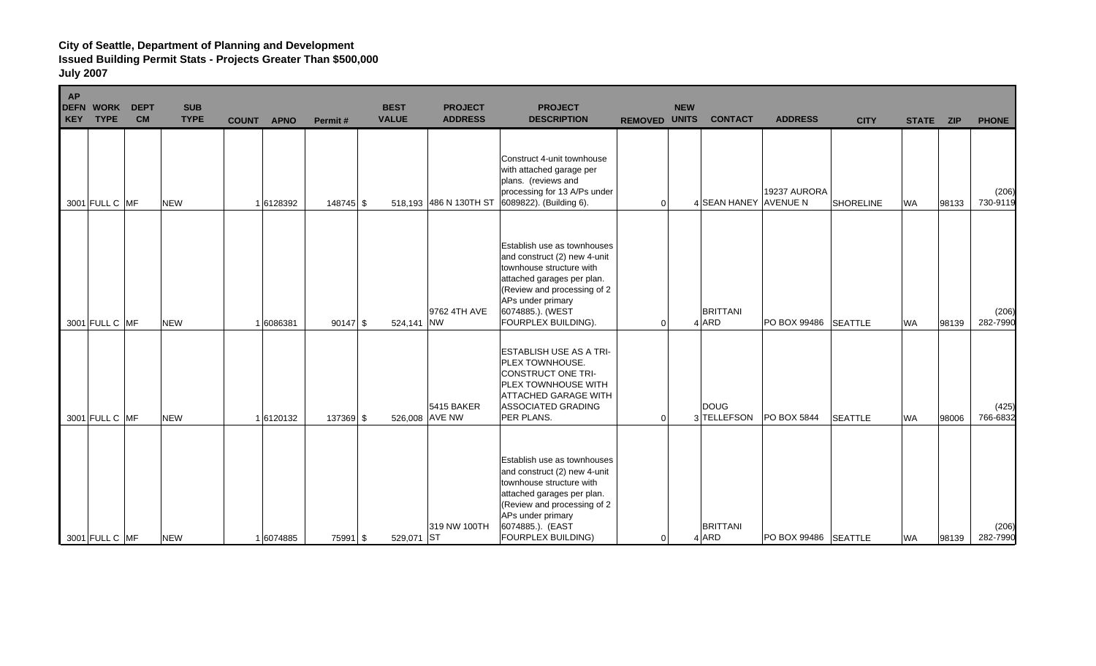| <b>AP</b><br><b>DEFN</b><br><b>KEY</b> | <b>WORK</b><br><b>TYPE</b> | <b>DEPT</b><br><b>CM</b> | <b>SUB</b><br><b>TYPE</b> | <b>COUNT</b><br><b>APNO</b> | Permit#    | <b>BEST</b><br><b>VALUE</b> | <b>PROJECT</b><br><b>ADDRESS</b>    | <b>PROJECT</b><br><b>DESCRIPTION</b>                                                                                                                                                                                 | <b>REMOVED UNITS</b> | <b>NEW</b> | <b>CONTACT</b>           | <b>ADDRESS</b>       | <b>CITY</b>    | <b>STATE</b> | <b>ZIP</b> | <b>PHONE</b>      |
|----------------------------------------|----------------------------|--------------------------|---------------------------|-----------------------------|------------|-----------------------------|-------------------------------------|----------------------------------------------------------------------------------------------------------------------------------------------------------------------------------------------------------------------|----------------------|------------|--------------------------|----------------------|----------------|--------------|------------|-------------------|
|                                        | 3001 FULL C MF             |                          | <b>NEW</b>                | 16128392                    | 148745 \$  |                             | 518,193 486 N 130TH ST              | Construct 4-unit townhouse<br>with attached garage per<br>plans. (reviews and<br>processing for 13 A/Ps under<br>6089822). (Building 6).                                                                             | $\Omega$             |            | 4 SEAN HANEY AVENUE N    | 19237 AURORA         | SHORELINE      | <b>WA</b>    | 98133      | (206)<br>730-9119 |
|                                        | 3001 FULL C MF             |                          | <b>NEW</b>                | 1 6086381                   | $90147$ \$ | 524.141 NW                  | 9762 4TH AVE                        | Establish use as townhouses<br>and construct (2) new 4-unit<br>townhouse structure with<br>attached garages per plan.<br>(Review and processing of 2<br>APs under primary<br>6074885.). (WEST<br>FOURPLEX BUILDING). | $\Omega$             |            | <b>BRITTANI</b><br>4 ARD | PO BOX 99486 SEATTLE |                | <b>WA</b>    | 98139      | (206)<br>282-7990 |
|                                        | 3001 FULL C MF             |                          | <b>NEW</b>                | 1 6120132                   | 137369 \$  |                             | <b>5415 BAKER</b><br>526,008 AVE NW | <b>ESTABLISH USE AS A TRI-</b><br><b>PLEX TOWNHOUSE.</b><br><b>CONSTRUCT ONE TRI-</b><br>PLEX TOWNHOUSE WITH<br><b>ATTACHED GARAGE WITH</b><br>ASSOCIATED GRADING<br>PER PLANS.                                      | $\Omega$             |            | DOUG<br>3 TELLEFSON      | <b>PO BOX 5844</b>   | <b>SEATTLE</b> | <b>WA</b>    | 98006      | (425)<br>766-6832 |
|                                        | 3001 FULL C MF             |                          | <b>NEW</b>                | 1 6074885                   | 75991 \$   | 529,071 ST                  | 319 NW 100TH                        | Establish use as townhouses<br>and construct (2) new 4-unit<br>townhouse structure with<br>attached garages per plan.<br>(Review and processing of 2<br>APs under primary<br>6074885.). (EAST<br>FOURPLEX BUILDING)  | $\Omega$             |            | <b>BRITTANI</b><br>4 ARD | PO BOX 99486 SEATTLE |                | <b>WA</b>    | 98139      | (206)<br>282-7990 |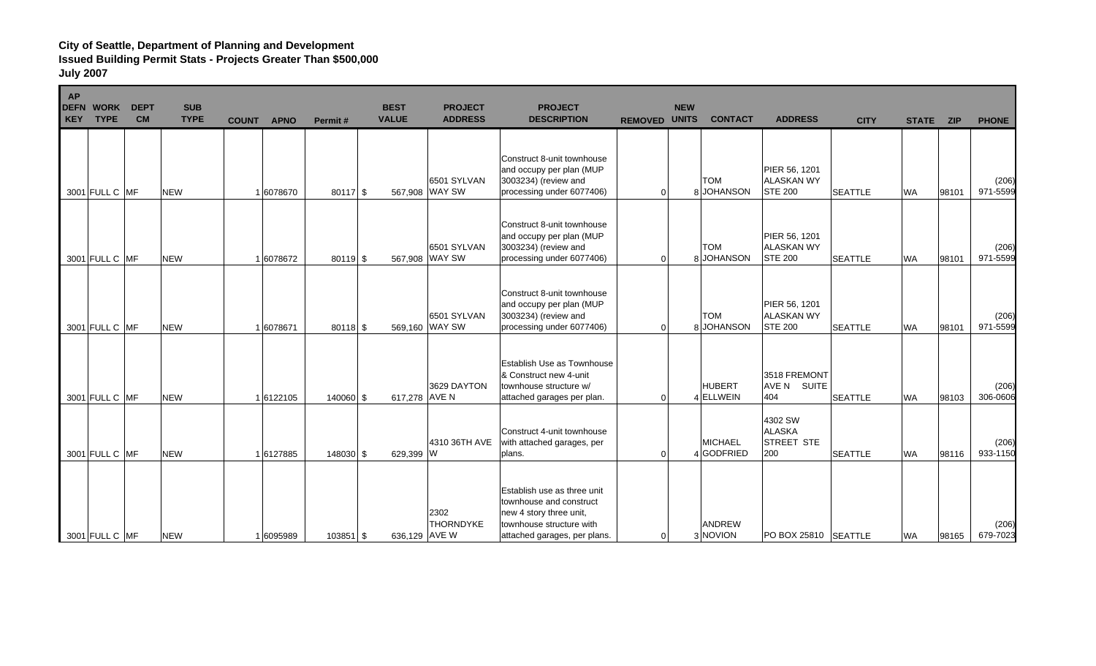| AP<br><b>DEFN</b><br>KEY | <b>WORK</b><br><b>TYPE</b> | <b>DEPT</b><br><b>CM</b> | <b>SUB</b><br><b>TYPE</b> | <b>COUNT</b> | <b>APNO</b> | Permit#     | <b>BEST</b><br><b>VALUE</b> | <b>PROJECT</b><br><b>ADDRESS</b> | <b>PROJECT</b><br><b>DESCRIPTION</b>                                                                                                          | <b>REMOVED UNITS</b> | <b>NEW</b> | <b>CONTACT</b>               | <b>ADDRESS</b>                                       | <b>CITY</b>    | <b>STATE</b> | <b>ZIP</b> | <b>PHONE</b>      |
|--------------------------|----------------------------|--------------------------|---------------------------|--------------|-------------|-------------|-----------------------------|----------------------------------|-----------------------------------------------------------------------------------------------------------------------------------------------|----------------------|------------|------------------------------|------------------------------------------------------|----------------|--------------|------------|-------------------|
| 3001 FULL C MF           |                            |                          | <b>NEW</b>                |              | 1 6078670   | 80117 \$    |                             | 6501 SYLVAN<br>567,908 WAY SW    | Construct 8-unit townhouse<br>and occupy per plan (MUP<br>3003234) (review and<br>processing under 6077406)                                   | $\Omega$             |            | <b>TOM</b><br>8 JOHANSON     | PIER 56, 1201<br><b>ALASKAN WY</b><br><b>STE 200</b> | <b>SEATTLE</b> | <b>WA</b>    | 98101      | (206)<br>971-5599 |
| 3001 FULL C MF           |                            |                          | <b>NEW</b>                |              | 16078672    | $80119$ \$  |                             | 6501 SYLVAN<br>567,908 WAY SW    | Construct 8-unit townhouse<br>and occupy per plan (MUP<br>3003234) (review and<br>processing under 6077406)                                   | $\Omega$             |            | <b>TOM</b><br>8JOHANSON      | PIER 56, 1201<br><b>ALASKAN WY</b><br><b>STE 200</b> | <b>SEATTLE</b> | <b>WA</b>    | 98101      | (206)<br>971-5599 |
| 3001 FULL C MF           |                            |                          | <b>NEW</b>                |              | 1 6078671   | $80118$ \$  |                             | 6501 SYLVAN<br>569,160 WAY SW    | Construct 8-unit townhouse<br>and occupy per plan (MUP<br>3003234) (review and<br>processing under 6077406)                                   | $\Omega$             |            | <b>TOM</b><br>8JOHANSON      | PIER 56, 1201<br><b>ALASKAN WY</b><br><b>STE 200</b> | <b>SEATTLE</b> | <b>WA</b>    | 98101      | (206)<br>971-5599 |
| 3001 FULL C MF           |                            |                          | <b>NEW</b>                |              | 16122105    | $140060$ \$ | 617,278 AVE N               | 3629 DAYTON                      | Establish Use as Townhouse<br>& Construct new 4-unit<br>townhouse structure w/<br>attached garages per plan.                                  | $\Omega$             |            | <b>HUBERT</b><br>4 ELLWEIN   | 3518 FREMONT<br>AVE N SUITE<br>404                   | <b>SEATTLE</b> | <b>WA</b>    | 98103      | (206)<br>306-0606 |
| 3001 FULL C MF           |                            |                          | <b>NEW</b>                |              | 16127885    | 148030 \$   | 629,399 W                   | 4310 36TH AVE                    | Construct 4-unit townhouse<br>with attached garages, per<br>plans.                                                                            | $\Omega$             |            | <b>MICHAEL</b><br>4 GODFRIED | 4302 SW<br><b>ALASKA</b><br><b>STREET STE</b><br>200 | <b>SEATTLE</b> | <b>WA</b>    | 98116      | (206)<br>933-1150 |
| 3001 FULL C MF           |                            |                          | <b>NEW</b>                |              | 1 6095989   | $103851$ \$ | 636,129 AVE W               | 2302<br><b>THORNDYKE</b>         | Establish use as three unit<br>townhouse and construct<br>new 4 story three unit,<br>townhouse structure with<br>attached garages, per plans. | $\Omega$             |            | <b>ANDREW</b><br>3 NOVION    | PO BOX 25810 SEATTLE                                 |                | <b>WA</b>    | 98165      | (206)<br>679-7023 |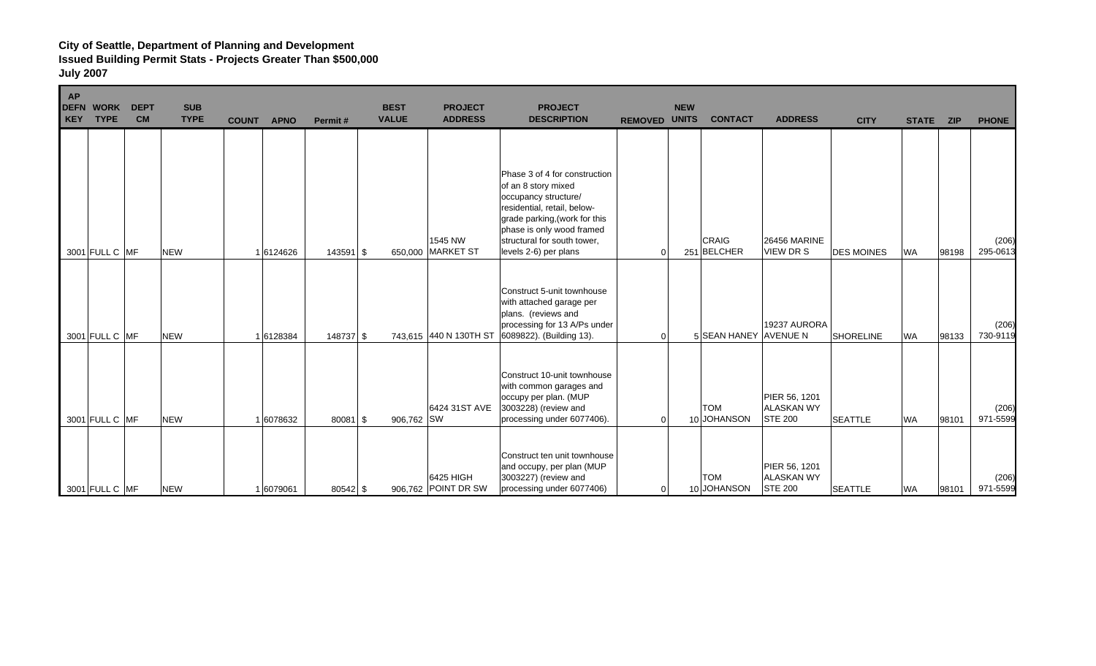| <b>AP</b><br><b>DEFN WORK</b><br><b>KEY</b> | <b>DEPT</b><br><b>CM</b><br><b>TYPE</b> | <b>SUB</b><br><b>TYPE</b> | <b>COUNT</b> | <b>APNO</b> | Permit#       | <b>BEST</b><br><b>VALUE</b> | <b>PROJECT</b><br><b>ADDRESS</b> | <b>PROJECT</b><br><b>DESCRIPTION</b>                                                                                                                                                                                              | <b>REMOVED</b> | <b>NEW</b><br><b>UNITS</b> | <b>CONTACT</b>            | <b>ADDRESS</b>                                       | <b>CITY</b>       | <b>STATE</b> | <b>ZIP</b> | <b>PHONE</b>      |
|---------------------------------------------|-----------------------------------------|---------------------------|--------------|-------------|---------------|-----------------------------|----------------------------------|-----------------------------------------------------------------------------------------------------------------------------------------------------------------------------------------------------------------------------------|----------------|----------------------------|---------------------------|------------------------------------------------------|-------------------|--------------|------------|-------------------|
|                                             | 3001 FULL C MF                          | <b>NEW</b>                |              | 16124626    | $143591$ \ \$ |                             | 1545 NW<br>650,000 MARKET ST     | Phase 3 of 4 for construction<br>of an 8 story mixed<br>occupancy structure/<br>residential, retail, below-<br>grade parking, (work for this<br>phase is only wood framed<br>structural for south tower,<br>levels 2-6) per plans | $\overline{0}$ |                            | CRAIG<br>251 BELCHER      | <b>26456 MARINE</b><br><b>VIEW DR S</b>              | <b>DES MOINES</b> | <b>WA</b>    | 98198      | (206)<br>295-0613 |
|                                             | 3001 FULL C MF                          | <b>NEW</b>                |              | 16128384    | 148737 \$     |                             | 743,615 440 N 130TH ST           | Construct 5-unit townhouse<br>with attached garage per<br>plans. (reviews and<br>processing for 13 A/Ps under<br>6089822). (Building 13).                                                                                         | $\Omega$       |                            | 5 SEAN HANEY AVENUE N     | 19237 AURORA                                         | <b>SHORELINE</b>  | <b>WA</b>    | 98133      | (206)<br>730-9119 |
|                                             | 3001 FULL C MF                          | <b>NEW</b>                |              | 6078632     | 80081 \$      | 906,762 SW                  | 6424 31ST AVE                    | Construct 10-unit townhouse<br>with common garages and<br>occupy per plan. (MUP<br>3003228) (review and<br>processing under 6077406).                                                                                             | $\overline{0}$ |                            | <b>TOM</b><br>10 JOHANSON | PIER 56, 1201<br><b>ALASKAN WY</b><br><b>STE 200</b> | <b>SEATTLE</b>    | <b>WA</b>    | 98101      | (206)<br>971-5599 |
|                                             | 3001 FULL C MF                          | <b>NEW</b>                |              | 16079061    | $80542$ \$    |                             | 6425 HIGH<br>906,762 POINT DR SW | Construct ten unit townhouse<br>and occupy, per plan (MUP<br>3003227) (review and<br>processing under 6077406)                                                                                                                    | $\overline{0}$ |                            | <b>TOM</b><br>10 JOHANSON | PIER 56, 1201<br><b>ALASKAN WY</b><br><b>STE 200</b> | <b>SEATTLE</b>    | <b>WA</b>    | 98101      | (206)<br>971-5599 |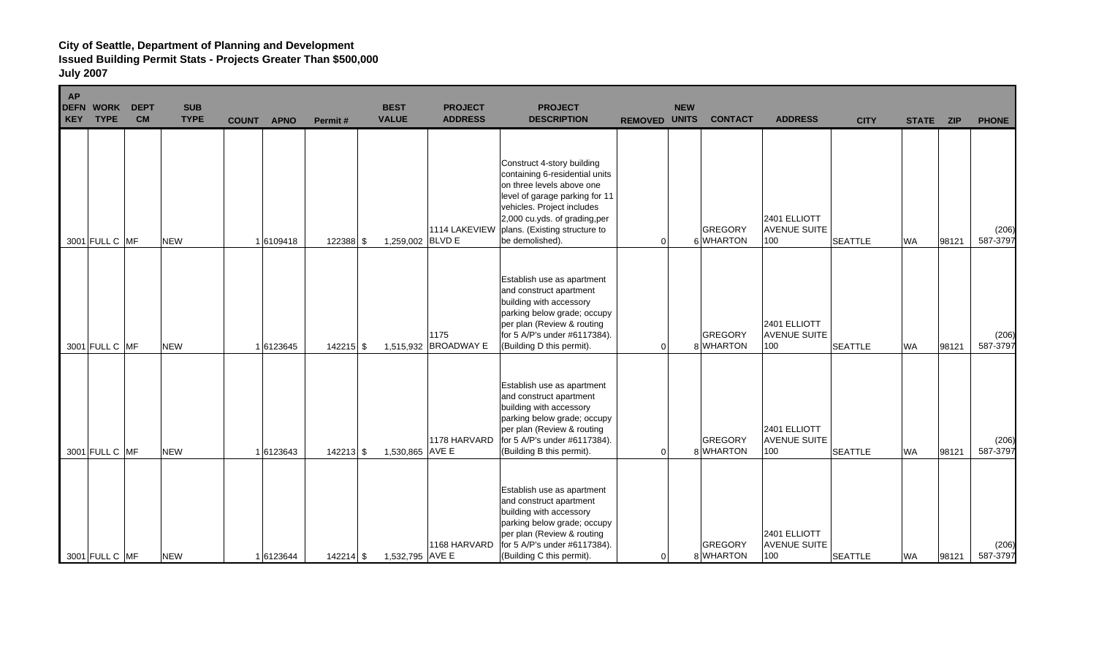| <b>AP</b><br><b>DEFN</b><br><b>KEY</b> | <b>WORK</b><br><b>TYPE</b> | <b>DEPT</b><br><b>CM</b> | <b>SUB</b><br><b>TYPE</b> | <b>COUNT</b> | <b>APNO</b> | Permit#     | <b>BEST</b><br><b>VALUE</b> | <b>PROJECT</b><br><b>ADDRESS</b> | <b>PROJECT</b><br><b>DESCRIPTION</b>                                                                                                                                                                                                          | <b>REMOVED UNITS</b> | <b>NEW</b> | <b>CONTACT</b>              | <b>ADDRESS</b>                             | <b>CITY</b>    | <b>STATE</b> | <b>ZIP</b> | <b>PHONE</b>      |
|----------------------------------------|----------------------------|--------------------------|---------------------------|--------------|-------------|-------------|-----------------------------|----------------------------------|-----------------------------------------------------------------------------------------------------------------------------------------------------------------------------------------------------------------------------------------------|----------------------|------------|-----------------------------|--------------------------------------------|----------------|--------------|------------|-------------------|
|                                        | 3001 FULL C MF             |                          | <b>NEW</b>                |              | 16109418    | 122388 \$   | 1,259,002 BLVD E            | 1114 LAKEVIEW                    | Construct 4-story building<br>containing 6-residential units<br>on three levels above one<br>level of garage parking for 11<br>vehicles. Project includes<br>2,000 cu.yds. of grading,per<br>plans. (Existing structure to<br>be demolished). | $\Omega$             |            | <b>GREGORY</b><br>6 WHARTON | 2401 ELLIOTT<br><b>AVENUE SUITE</b><br>100 | <b>SEATTLE</b> | <b>WA</b>    | 98121      | (206)<br>587-3797 |
|                                        | 3001 FULL C MF             |                          | <b>NEW</b>                |              | 16123645    | $142215$ \$ |                             | 1175<br>1,515,932 BROADWAY E     | Establish use as apartment<br>and construct apartment<br>building with accessory<br>parking below grade; occupy<br>per plan (Review & routing<br>for 5 A/P's under #6117384).<br>(Building D this permit).                                    | $\overline{0}$       |            | <b>GREGORY</b><br>8 WHARTON | 2401 ELLIOTT<br><b>AVENUE SUITE</b><br>100 | <b>SEATTLE</b> | <b>WA</b>    | 98121      | (206)<br>587-3797 |
|                                        | 3001 FULL C MF             |                          | <b>NEW</b>                |              | 16123643    | 142213 \$   | 1,530,865 AVE E             | 1178 HARVARD                     | Establish use as apartment<br>and construct apartment<br>building with accessory<br>parking below grade; occupy<br>per plan (Review & routing<br>for 5 A/P's under #6117384).<br>(Building B this permit).                                    | $\overline{0}$       |            | <b>GREGORY</b><br>8 WHARTON | 2401 ELLIOTT<br><b>AVENUE SUITE</b><br>100 | <b>SEATTLE</b> | <b>WA</b>    | 98121      | (206)<br>587-3797 |
|                                        | 3001 FULL C MF             |                          | <b>NEW</b>                |              | 16123644    | $142214$ \$ | 1,532,795 AVE E             | 1168 HARVARD                     | Establish use as apartment<br>and construct apartment<br>building with accessory<br>parking below grade; occupy<br>per plan (Review & routing<br>for 5 A/P's under #6117384).<br>(Building C this permit).                                    | $\overline{0}$       |            | <b>GREGORY</b><br>8 WHARTON | 2401 ELLIOTT<br><b>AVENUE SUITE</b><br>100 | <b>SEATTLE</b> | <b>WA</b>    | 98121      | (206)<br>587-3797 |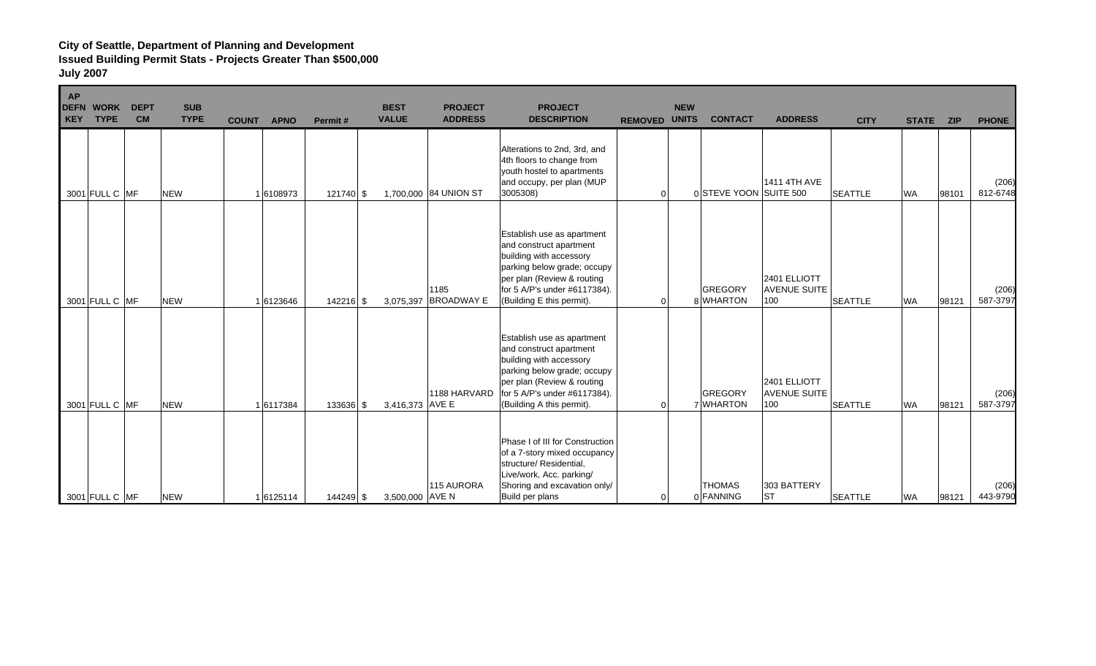| <b>AP</b><br><b>DEFN WORK</b><br><b>TYPE</b><br>KEY | <b>DEPT</b><br><b>CM</b> | <b>SUB</b><br><b>TYPE</b> | <b>COUNT</b> | <b>APNO</b> | Permit#     | <b>BEST</b><br><b>VALUE</b> | <b>PROJECT</b><br><b>ADDRESS</b> | <b>PROJECT</b><br><b>DESCRIPTION</b>                                                                                                                                                                       | <b>REMOVED</b> | <b>NEW</b><br><b>UNITS</b> | <b>CONTACT</b>              | <b>ADDRESS</b>                             | <b>CITY</b>    | <b>STATE</b> | <b>ZIP</b> | <b>PHONE</b>      |
|-----------------------------------------------------|--------------------------|---------------------------|--------------|-------------|-------------|-----------------------------|----------------------------------|------------------------------------------------------------------------------------------------------------------------------------------------------------------------------------------------------------|----------------|----------------------------|-----------------------------|--------------------------------------------|----------------|--------------|------------|-------------------|
| 3001 FULL C MF                                      |                          | <b>NEW</b>                |              | 16108973    | 121740 \$   |                             | 1,700,000 84 UNION ST            | Alterations to 2nd, 3rd, and<br>4th floors to change from<br>youth hostel to apartments<br>and occupy, per plan (MUP<br>3005308)                                                                           | $\mathbf 0$    |                            | 0 STEVE YOON SUITE 500      | 1411 4TH AVE                               | <b>SEATTLE</b> | <b>WA</b>    | 98101      | (206)<br>812-6748 |
| 3001 FULL C MF                                      |                          | <b>NEW</b>                |              | 16123646    | $142216$ \$ | 3,075,397                   | 1185<br><b>BROADWAY E</b>        | Establish use as apartment<br>and construct apartment<br>building with accessory<br>parking below grade; occupy<br>per plan (Review & routing<br>for 5 A/P's under #6117384).<br>(Building E this permit). | $\Omega$       |                            | <b>GREGORY</b><br>8 WHARTON | 2401 ELLIOTT<br><b>AVENUE SUITE</b><br>100 | <b>SEATTLE</b> | <b>WA</b>    | 98121      | (206)<br>587-3797 |
| 3001 FULL C MF                                      |                          | <b>NEW</b>                |              | 16117384    | 133636 \$   | 3,416,373 AVE E             | 1188 HARVARD                     | Establish use as apartment<br>and construct apartment<br>building with accessory<br>parking below grade; occupy<br>per plan (Review & routing<br>for 5 A/P's under #6117384).<br>(Building A this permit). | $\Omega$       |                            | <b>GREGORY</b><br>7 WHARTON | 2401 ELLIOTT<br><b>AVENUE SUITE</b><br>100 | <b>SEATTLE</b> | <b>WA</b>    | 98121      | (206)<br>587-3797 |
| 3001 FULL C MF                                      |                          | <b>NEW</b>                |              | 1 6125114   | 144249 \$   | 3,500,000 AVE N             | 115 AURORA                       | Phase I of III for Construction<br>of a 7-story mixed occupancy<br>structure/ Residential,<br>Live/work, Acc. parking/<br>Shoring and excavation only/<br>Build per plans                                  | $\Omega$       |                            | <b>THOMAS</b><br>0 FANNING  | 303 BATTERY<br> ST                         | <b>SEATTLE</b> | <b>WA</b>    | 98121      | (206)<br>443-9790 |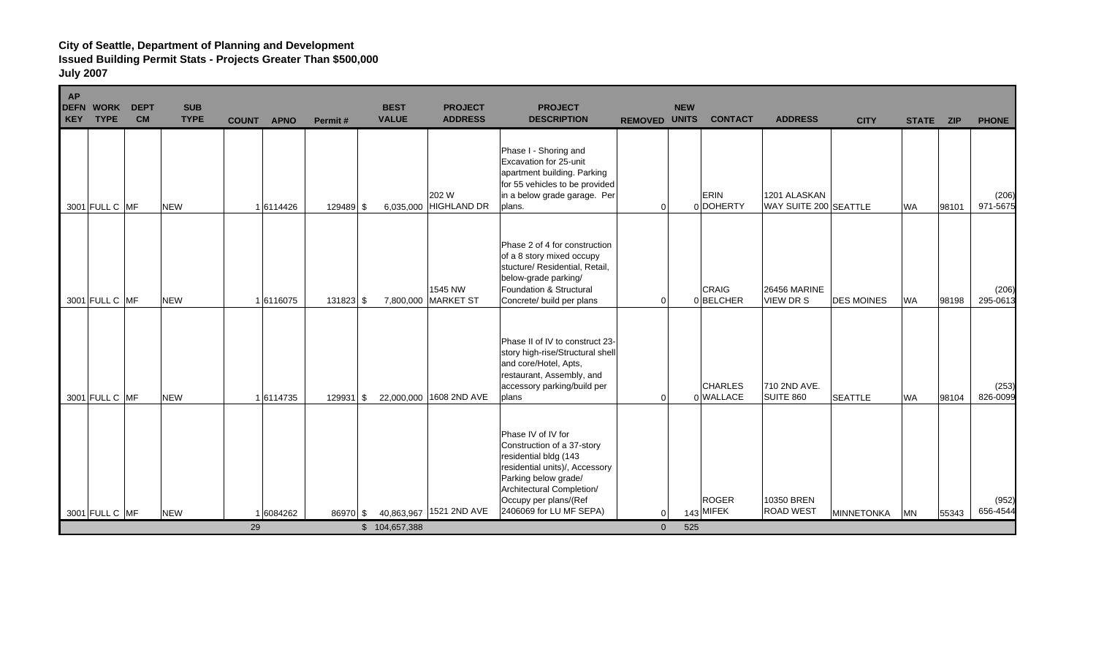Е

| <b>AP</b><br><b>DEFN</b><br><b>KEY</b> | <b>WORK</b><br><b>TYPE</b> | <b>DEPT</b><br><b>CM</b> | <b>SUB</b><br><b>TYPE</b> | <b>COUNT</b> | <b>APNO</b> | Permit#     | <b>BEST</b><br><b>VALUE</b> | <b>PROJECT</b><br><b>ADDRESS</b> | <b>PROJECT</b><br><b>DESCRIPTION</b>                                                                                                                                                                                 | <b>REMOVED UNITS</b> | <b>NEW</b> | <b>CONTACT</b>              | <b>ADDRESS</b>                          | <b>CITY</b>       | <b>STATE</b> | <b>ZIP</b> | <b>PHONE</b>      |
|----------------------------------------|----------------------------|--------------------------|---------------------------|--------------|-------------|-------------|-----------------------------|----------------------------------|----------------------------------------------------------------------------------------------------------------------------------------------------------------------------------------------------------------------|----------------------|------------|-----------------------------|-----------------------------------------|-------------------|--------------|------------|-------------------|
|                                        | 3001 FULL C MF             |                          | <b>NEW</b>                |              | 16114426    | 129489 \$   | 6,035,000                   | 202 W<br><b>HIGHLAND DR</b>      | Phase I - Shoring and<br>Excavation for 25-unit<br>apartment building. Parking<br>for 55 vehicles to be provided<br>in a below grade garage. Per<br>plans.                                                           | $\Omega$             |            | <b>ERIN</b><br>0 DOHERTY    | 1201 ALASKAN<br>WAY SUITE 200 SEATTLE   |                   | <b>WA</b>    | 98101      | (206)<br>971-5675 |
|                                        | 3001 FULL C MF             |                          | <b>NEW</b>                |              | 16116075    | 131823 \$   | 7,800,000                   | 1545 NW<br><b>MARKET ST</b>      | Phase 2 of 4 for construction<br>of a 8 story mixed occupy<br>stucture/ Residential, Retail,<br>below-grade parking/<br>Foundation & Structural<br>Concrete/ build per plans                                         | $\Omega$             |            | <b>CRAIG</b><br>0BELCHER    | <b>26456 MARINE</b><br><b>VIEW DR S</b> | <b>DES MOINES</b> | <b>WA</b>    | 98198      | (206)<br>295-0613 |
|                                        | 3001 FULL C MF             |                          | <b>NEW</b>                |              | 16114735    | $129931$ \$ |                             | 22,000,000 1608 2ND AVE          | Phase II of IV to construct 23-<br>story high-rise/Structural shell<br>and core/Hotel, Apts,<br>restaurant, Assembly, and<br>accessory parking/build per<br>plans                                                    | $\Omega$             |            | <b>CHARLES</b><br>0 WALLACE | 710 2ND AVE.<br>SUITE 860               | <b>SEATTLE</b>    | <b>WA</b>    | 98104      | (253)<br>826-0099 |
|                                        | 3001 FULL C MF             |                          | <b>NEW</b>                |              | 1 6084262   | 86970 \$    |                             | 40,863,967 1521 2ND AVE          | Phase IV of IV for<br>Construction of a 37-story<br>residential bldg (143<br>residential units)/, Accessory<br>Parking below grade/<br>Architectural Completion/<br>Occupy per plans/(Ref<br>2406069 for LU MF SEPA) |                      |            | <b>ROGER</b><br>143 MIFEK   | 10350 BREN<br><b>ROAD WEST</b>          | <b>MINNETONKA</b> | <b>MN</b>    | 55343      | (952)<br>656-4544 |
|                                        |                            |                          |                           | 29           |             |             | \$104,657,388               |                                  |                                                                                                                                                                                                                      | $\overline{0}$       | 525        |                             |                                         |                   |              |            |                   |